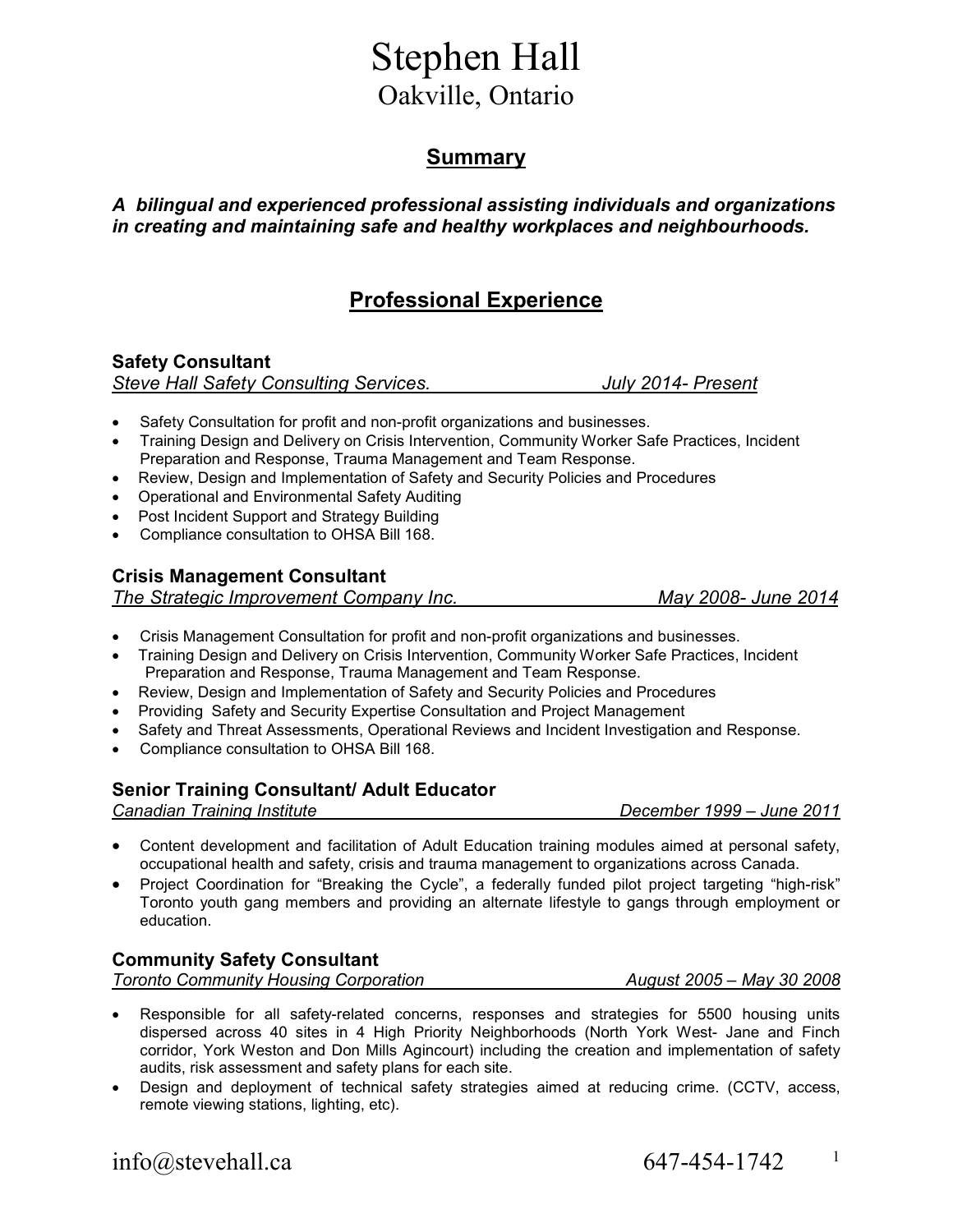# Stephen Hall Oakville, Ontario

### **Summary**

#### *A bilingual and experienced professional assisting individuals and organizations in creating and maintaining safe and healthy workplaces and neighbourhoods.*

## **Professional Experience**

**Safety Consultant**  *Steve Hall Safety Consulting Services.**July 2014- Present* 

- Safety Consultation for profit and non-profit organizations and businesses.
- Training Design and Delivery on Crisis Intervention, Community Worker Safe Practices, Incident Preparation and Response, Trauma Management and Team Response.
- Review, Design and Implementation of Safety and Security Policies and Procedures
- Operational and Environmental Safety Auditing
- Post Incident Support and Strategy Building
- Compliance consultation to OHSA Bill 168.

#### **Crisis Management Consultant**

*The Strategic Improvement Company Inc.**May 2008- June 2014* 

- Crisis Management Consultation for profit and non-profit organizations and businesses.
- Training Design and Delivery on Crisis Intervention, Community Worker Safe Practices, Incident Preparation and Response, Trauma Management and Team Response.
- Review, Design and Implementation of Safety and Security Policies and Procedures
- Providing Safety and Security Expertise Consultation and Project Management
- Safety and Threat Assessments, Operational Reviews and Incident Investigation and Response.
- Compliance consultation to OHSA Bill 168.

#### **Senior Training Consultant/ Adult Educator**

*Canadian Training Institute December 1999 – June 2011* 

- Content development and facilitation of Adult Education training modules aimed at personal safety, occupational health and safety, crisis and trauma management to organizations across Canada.
- Project Coordination for "Breaking the Cycle", a federally funded pilot project targeting "high-risk" Toronto youth gang members and providing an alternate lifestyle to gangs through employment or education.

#### **Community Safety Consultant**

*Toronto Community Housing Corporation August 2005 – May 30 2008* 

- Responsible for all safety-related concerns, responses and strategies for 5500 housing units dispersed across 40 sites in 4 High Priority Neighborhoods (North York West- Jane and Finch corridor, York Weston and Don Mills Agincourt) including the creation and implementation of safety audits, risk assessment and safety plans for each site.
- Design and deployment of technical safety strategies aimed at reducing crime. (CCTV, access, remote viewing stations, lighting, etc).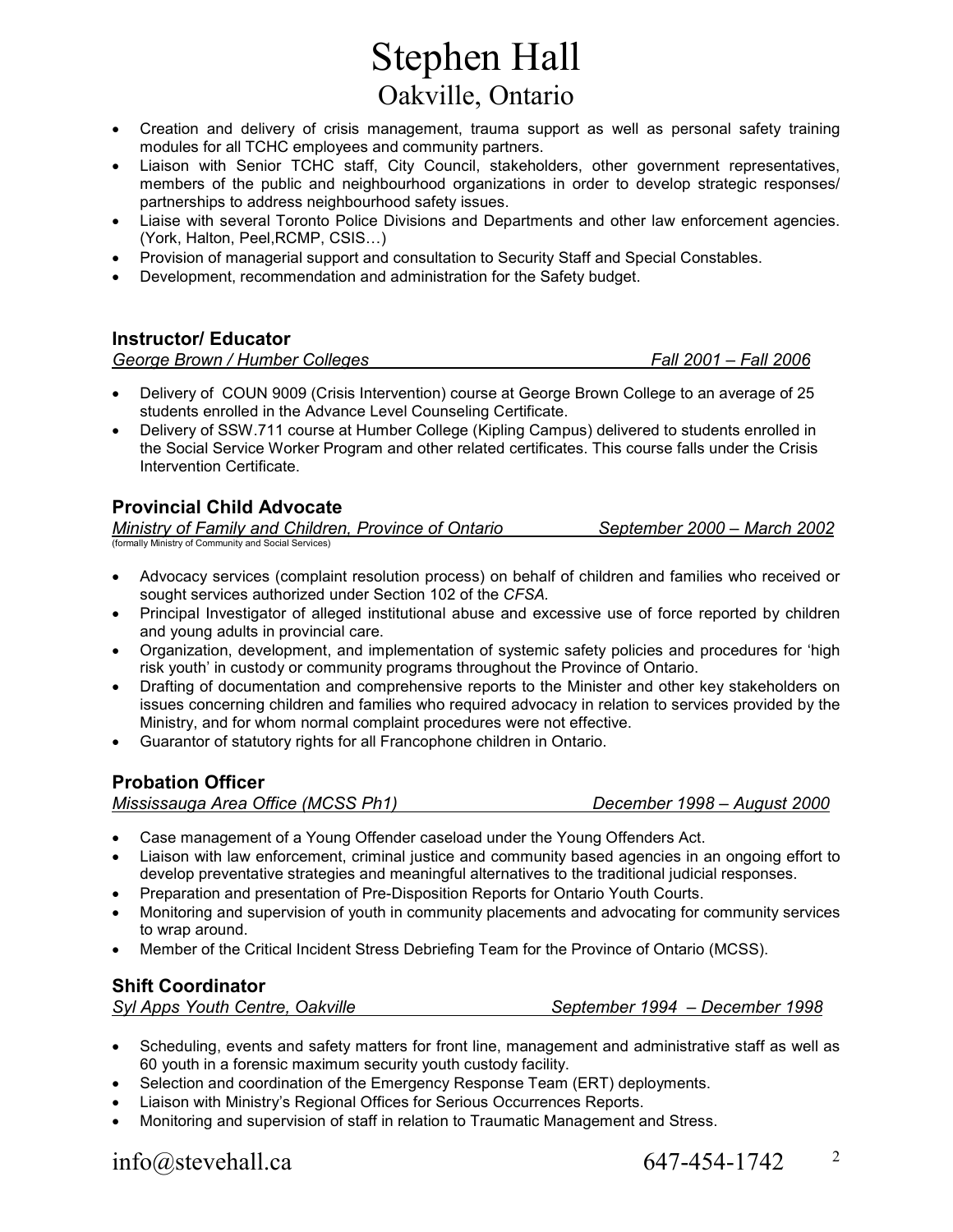# Stephen Hall Oakville, Ontario

- Creation and delivery of crisis management, trauma support as well as personal safety training modules for all TCHC employees and community partners.
- Liaison with Senior TCHC staff, City Council, stakeholders, other government representatives, members of the public and neighbourhood organizations in order to develop strategic responses/ partnerships to address neighbourhood safety issues.
- Liaise with several Toronto Police Divisions and Departments and other law enforcement agencies. (York, Halton, Peel, RCMP, CSIS...)
- Provision of managerial support and consultation to Security Staff and Special Constables.
- Development, recommendation and administration for the Safety budget.

#### **Instructor/ Educator**

*George Brown / Humber Colleges Fall 2001 – Fall 2006* 

- Delivery of COUN 9009 (Crisis Intervention) course at George Brown College to an average of 25 students enrolled in the Advance Level Counseling Certificate.
- Delivery of SSW.711 course at Humber College (Kipling Campus) delivered to students enrolled in the Social Service Worker Program and other related certificates. This course falls under the Crisis Intervention Certificate.

### **Provincial Child Advocate**

*Ministry of Family and Children, Province of Ontario September 2000 – March 2002*  (formally Ministry of Community and Social Services)

- Advocacy services (complaint resolution process) on behalf of children and families who received or sought services authorized under Section 102 of the *CFSA.*
- ) Principal Investigator of alleged institutional abuse and excessive use of force reported by children and young adults in provincial care.
- Organization, development, and implementation of systemic safety policies and procedures for 'high risk youth' in custody or community programs throughout the Province of Ontario.
- Drafting of documentation and comprehensive reports to the Minister and other key stakeholders on issues concerning children and families who required advocacy in relation to services provided by the Ministry, and for whom normal complaint procedures were not effective.
- Guarantor of statutory rights for all Francophone children in Ontario.

#### **Probation Officer**

*Mississauga Area Office (MCSS Ph1) December 1998 – August 2000*

- Ξ • Case management of a Young Offender caseload under the Young Offenders Act.
- Liaison with law enforcement, criminal justice and community based agencies in an ongoing effort to develop preventative strategies and meaningful alternatives to the traditional judicial responses.
- Preparation and presentation of Pre-Disposition Reports for Ontario Youth Courts.
- Monitoring and supervision of youth in community placements and advocating for community services to wrap around.
- Member of the Critical Incident Stress Debriefing Team for the Province of Ontario (MCSS).

#### **Shift Coordinator**

*Syl Apps Youth Centre, Oakville September 1994 – December 1998* 

- Scheduling, events and safety matters for front line, management and administrative staff as well as 60 youth in a forensic maximum security youth custody facility.
- Selection and coordination of the Emergency Response Team (ERT) deployments.
- Liaison with Ministry's Regional Offices for Serious Occurrences Reports.
- Monitoring and supervision of staff in relation to Traumatic Management and Stress.